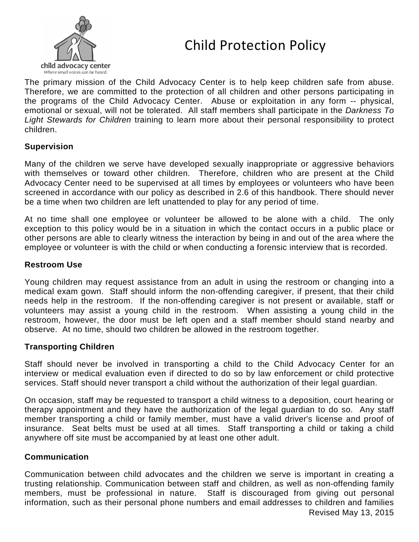



The primary mission of the Child Advocacy Center is to help keep children safe from abuse. Therefore, we are committed to the protection of all children and other persons participating in the programs of the Child Advocacy Center. Abuse or exploitation in any form -- physical, emotional or sexual, will not be tolerated. All staff members shall participate in the *Darkness To Light Stewards for Children* training to learn more about their personal responsibility to protect children.

### **Supervision**

Many of the children we serve have developed sexually inappropriate or aggressive behaviors with themselves or toward other children. Therefore, children who are present at the Child Advocacy Center need to be supervised at all times by employees or volunteers who have been screened in accordance with our policy as described in 2.6 of this handbook. There should never be a time when two children are left unattended to play for any period of time.

At no time shall one employee or volunteer be allowed to be alone with a child. The only exception to this policy would be in a situation in which the contact occurs in a public place or other persons are able to clearly witness the interaction by being in and out of the area where the employee or volunteer is with the child or when conducting a forensic interview that is recorded.

#### **Restroom Use**

Young children may request assistance from an adult in using the restroom or changing into a medical exam gown. Staff should inform the non-offending caregiver, if present, that their child needs help in the restroom. If the non-offending caregiver is not present or available, staff or volunteers may assist a young child in the restroom. When assisting a young child in the restroom, however, the door must be left open and a staff member should stand nearby and observe. At no time, should two children be allowed in the restroom together.

### **Transporting Children**

Staff should never be involved in transporting a child to the Child Advocacy Center for an interview or medical evaluation even if directed to do so by law enforcement or child protective services. Staff should never transport a child without the authorization of their legal guardian.

On occasion, staff may be requested to transport a child witness to a deposition, court hearing or therapy appointment and they have the authorization of the legal guardian to do so. Any staff member transporting a child or family member, must have a valid driver's license and proof of insurance. Seat belts must be used at all times. Staff transporting a child or taking a child anywhere off site must be accompanied by at least one other adult.

### **Communication**

Communication between child advocates and the children we serve is important in creating a trusting relationship. Communication between staff and children, as well as non-offending family members, must be professional in nature. Staff is discouraged from giving out personal information, such as their personal phone numbers and email addresses to children and families Revised May 13, 2015